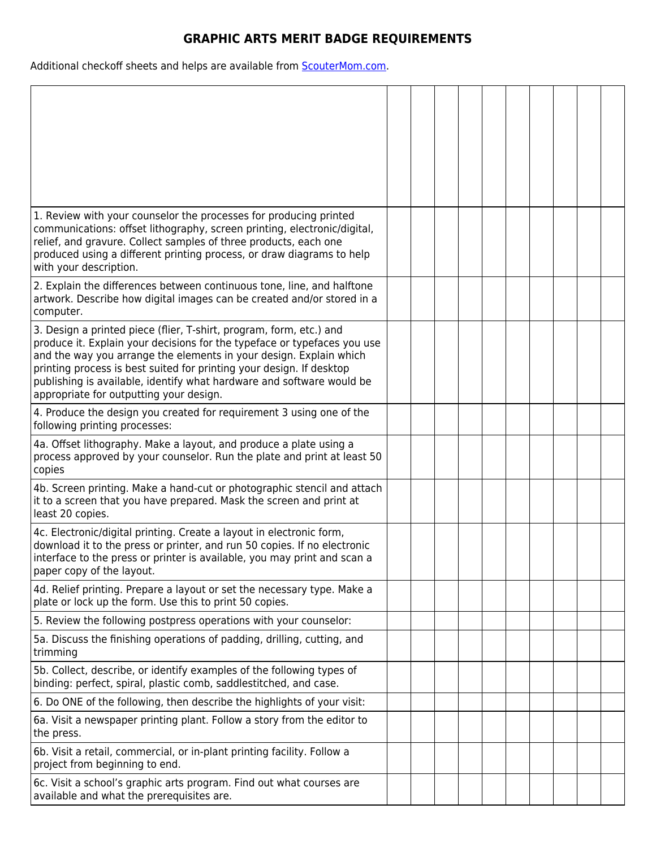## **GRAPHIC ARTS MERIT BADGE REQUIREMENTS**

Additional checkoff sheets and helps are available from **ScouterMom.com**.

| 1. Review with your counselor the processes for producing printed<br>communications: offset lithography, screen printing, electronic/digital,<br>relief, and gravure. Collect samples of three products, each one<br>produced using a different printing process, or draw diagrams to help<br>with your description.                                                                                              |  |  |  |  |  |
|-------------------------------------------------------------------------------------------------------------------------------------------------------------------------------------------------------------------------------------------------------------------------------------------------------------------------------------------------------------------------------------------------------------------|--|--|--|--|--|
| 2. Explain the differences between continuous tone, line, and halftone<br>artwork. Describe how digital images can be created and/or stored in a<br>computer.                                                                                                                                                                                                                                                     |  |  |  |  |  |
| 3. Design a printed piece (flier, T-shirt, program, form, etc.) and<br>produce it. Explain your decisions for the typeface or typefaces you use<br>and the way you arrange the elements in your design. Explain which<br>printing process is best suited for printing your design. If desktop<br>publishing is available, identify what hardware and software would be<br>appropriate for outputting your design. |  |  |  |  |  |
| 4. Produce the design you created for requirement 3 using one of the<br>following printing processes:                                                                                                                                                                                                                                                                                                             |  |  |  |  |  |
| 4a. Offset lithography. Make a layout, and produce a plate using a<br>process approved by your counselor. Run the plate and print at least 50<br>copies                                                                                                                                                                                                                                                           |  |  |  |  |  |
| 4b. Screen printing. Make a hand-cut or photographic stencil and attach<br>it to a screen that you have prepared. Mask the screen and print at<br>least 20 copies.                                                                                                                                                                                                                                                |  |  |  |  |  |
| 4c. Electronic/digital printing. Create a layout in electronic form,<br>download it to the press or printer, and run 50 copies. If no electronic<br>interface to the press or printer is available, you may print and scan a<br>paper copy of the layout.                                                                                                                                                         |  |  |  |  |  |
| 4d. Relief printing. Prepare a layout or set the necessary type. Make a<br>plate or lock up the form. Use this to print 50 copies.                                                                                                                                                                                                                                                                                |  |  |  |  |  |
| 5. Review the following postpress operations with your counselor:                                                                                                                                                                                                                                                                                                                                                 |  |  |  |  |  |
| 5a. Discuss the finishing operations of padding, drilling, cutting, and<br>trimming                                                                                                                                                                                                                                                                                                                               |  |  |  |  |  |
| 5b. Collect, describe, or identify examples of the following types of<br>binding: perfect, spiral, plastic comb, saddlestitched, and case.                                                                                                                                                                                                                                                                        |  |  |  |  |  |
| 6. Do ONE of the following, then describe the highlights of your visit:                                                                                                                                                                                                                                                                                                                                           |  |  |  |  |  |
| 6a. Visit a newspaper printing plant. Follow a story from the editor to<br>the press.                                                                                                                                                                                                                                                                                                                             |  |  |  |  |  |
| 6b. Visit a retail, commercial, or in-plant printing facility. Follow a<br>project from beginning to end.                                                                                                                                                                                                                                                                                                         |  |  |  |  |  |
| 6c. Visit a school's graphic arts program. Find out what courses are<br>available and what the prerequisites are.                                                                                                                                                                                                                                                                                                 |  |  |  |  |  |